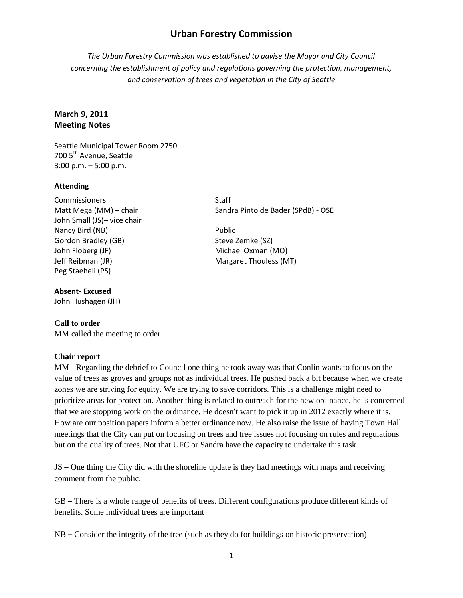# **Urban Forestry Commission**

*The Urban Forestry Commission was established to advise the Mayor and City Council concerning the establishment of policy and regulations governing the protection, management, and conservation of trees and vegetation in the City of Seattle*

## **March 9, 2011 Meeting Notes**

Seattle Municipal Tower Room 2750 700 5<sup>th</sup> Avenue, Seattle 3:00 p.m. – 5:00 p.m.

#### **Attending**

Commissioners Staff Matt Mega (MM) – chair Sandra Pinto de Bader (SPdB) - OSE John Small (JS)– vice chair Nancy Bird (NB) Public Gordon Bradley (GB) Steve Zemke (SZ) John Floberg (JF) Michael Oxman (MO) Jeff Reibman (JR) Margaret Thouless (MT) Peg Staeheli (PS)

#### **Absent- Excused**

John Hushagen (JH)

### **Call to order**

MM called the meeting to order

### **Chair report**

MM - Regarding the debrief to Council one thing he took away was that Conlin wants to focus on the value of trees as groves and groups not as individual trees. He pushed back a bit because when we create zones we are striving for equity. We are trying to save corridors. This is a challenge might need to prioritize areas for protection. Another thing is related to outreach for the new ordinance, he is concerned that we are stopping work on the ordinance. He doesn't want to pick it up in 2012 exactly where it is. How are our position papers inform a better ordinance now. He also raise the issue of having Town Hall meetings that the City can put on focusing on trees and tree issues not focusing on rules and regulations but on the quality of trees. Not that UFC or Sandra have the capacity to undertake this task.

JS – One thing the City did with the shoreline update is they had meetings with maps and receiving comment from the public.

GB – There is a whole range of benefits of trees. Different configurations produce different kinds of benefits. Some individual trees are important

NB – Consider the integrity of the tree (such as they do for buildings on historic preservation)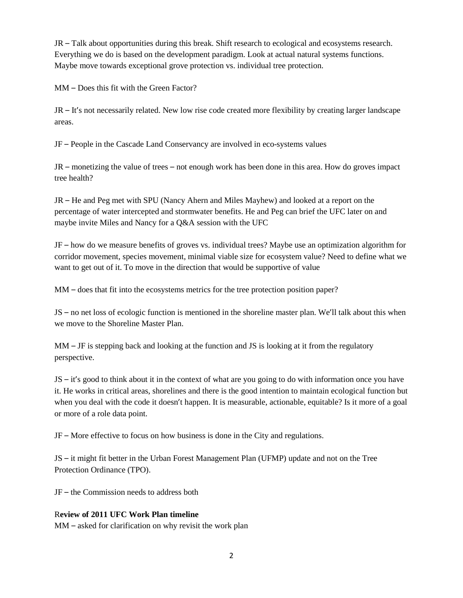JR – Talk about opportunities during this break. Shift research to ecological and ecosystems research. Everything we do is based on the development paradigm. Look at actual natural systems functions. Maybe move towards exceptional grove protection vs. individual tree protection.

MM – Does this fit with the Green Factor?

JR – It's not necessarily related. New low rise code created more flexibility by creating larger landscape areas.

JF – People in the Cascade Land Conservancy are involved in eco-systems values

JR – monetizing the value of trees – not enough work has been done in this area. How do groves impact tree health?

JR – He and Peg met with SPU (Nancy Ahern and Miles Mayhew) and looked at a report on the percentage of water intercepted and stormwater benefits. He and Peg can brief the UFC later on and maybe invite Miles and Nancy for a Q&A session with the UFC

JF – how do we measure benefits of groves vs. individual trees? Maybe use an optimization algorithm for corridor movement, species movement, minimal viable size for ecosystem value? Need to define what we want to get out of it. To move in the direction that would be supportive of value

MM – does that fit into the ecosystems metrics for the tree protection position paper?

JS – no net loss of ecologic function is mentioned in the shoreline master plan. We'll talk about this when we move to the Shoreline Master Plan.

 $MM - JF$  is stepping back and looking at the function and JS is looking at it from the regulatory perspective.

JS – it's good to think about it in the context of what are you going to do with information once you have it. He works in critical areas, shorelines and there is the good intention to maintain ecological function but when you deal with the code it doesn't happen. It is measurable, actionable, equitable? Is it more of a goal or more of a role data point.

JF – More effective to focus on how business is done in the City and regulations.

JS – it might fit better in the Urban Forest Management Plan (UFMP) update and not on the Tree Protection Ordinance (TPO).

JF – the Commission needs to address both

### R**eview of 2011 UFC Work Plan timeline**

MM – asked for clarification on why revisit the work plan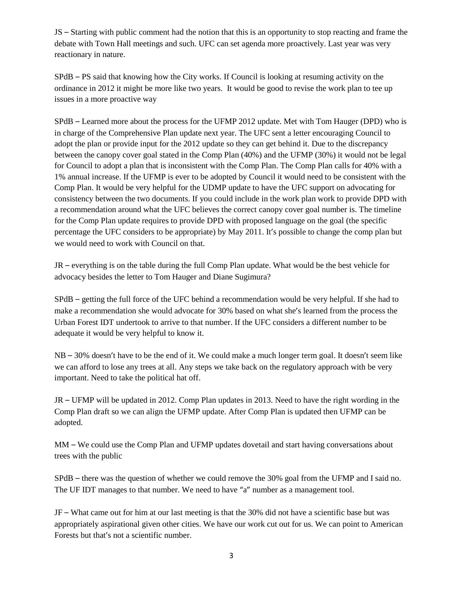JS – Starting with public comment had the notion that this is an opportunity to stop reacting and frame the debate with Town Hall meetings and such. UFC can set agenda more proactively. Last year was very reactionary in nature.

SPdB – PS said that knowing how the City works. If Council is looking at resuming activity on the ordinance in 2012 it might be more like two years. It would be good to revise the work plan to tee up issues in a more proactive way

SPdB – Learned more about the process for the UFMP 2012 update. Met with Tom Hauger (DPD) who is in charge of the Comprehensive Plan update next year. The UFC sent a letter encouraging Council to adopt the plan or provide input for the 2012 update so they can get behind it. Due to the discrepancy between the canopy cover goal stated in the Comp Plan (40%) and the UFMP (30%) it would not be legal for Council to adopt a plan that is inconsistent with the Comp Plan. The Comp Plan calls for 40% with a 1% annual increase. If the UFMP is ever to be adopted by Council it would need to be consistent with the Comp Plan. It would be very helpful for the UDMP update to have the UFC support on advocating for consistency between the two documents. If you could include in the work plan work to provide DPD with a recommendation around what the UFC believes the correct canopy cover goal number is. The timeline for the Comp Plan update requires to provide DPD with proposed language on the goal (the specific percentage the UFC considers to be appropriate) by May 2011. It's possible to change the comp plan but we would need to work with Council on that.

JR – everything is on the table during the full Comp Plan update. What would be the best vehicle for advocacy besides the letter to Tom Hauger and Diane Sugimura?

SPdB – getting the full force of the UFC behind a recommendation would be very helpful. If she had to make a recommendation she would advocate for 30% based on what she's learned from the process the Urban Forest IDT undertook to arrive to that number. If the UFC considers a different number to be adequate it would be very helpful to know it.

NB – 30% doesn't have to be the end of it. We could make a much longer term goal. It doesn't seem like we can afford to lose any trees at all. Any steps we take back on the regulatory approach with be very important. Need to take the political hat off.

JR – UFMP will be updated in 2012. Comp Plan updates in 2013. Need to have the right wording in the Comp Plan draft so we can align the UFMP update. After Comp Plan is updated then UFMP can be adopted.

MM – We could use the Comp Plan and UFMP updates dovetail and start having conversations about trees with the public

SPdB – there was the question of whether we could remove the 30% goal from the UFMP and I said no. The UF IDT manages to that number. We need to have "a" number as a management tool.

JF – What came out for him at our last meeting is that the 30% did not have a scientific base but was appropriately aspirational given other cities. We have our work cut out for us. We can point to American Forests but that's not a scientific number.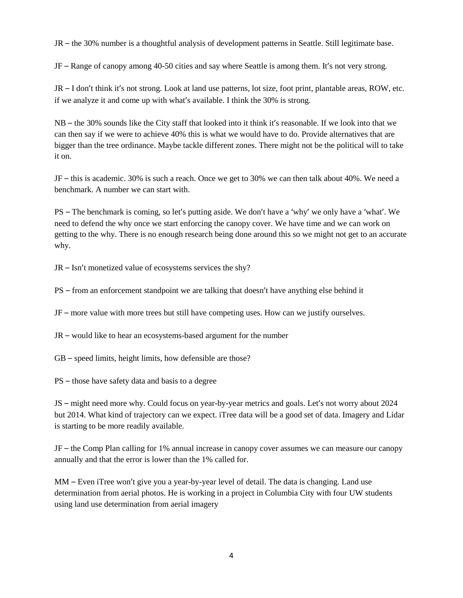JR – the 30% number is a thoughtful analysis of development patterns in Seattle. Still legitimate base.

JF – Range of canopy among 40-50 cities and say where Seattle is among them. It's not very strong.

JR – I don't think it's not strong. Look at land use patterns, lot size, foot print, plantable areas, ROW, etc. if we analyze it and come up with what's available. I think the 30% is strong.

NB – the 30% sounds like the City staff that looked into it think it's reasonable. If we look into that we can then say if we were to achieve 40% this is what we would have to do. Provide alternatives that are bigger than the tree ordinance. Maybe tackle different zones. There might not be the political will to take it on.

JF – this is academic. 30% is such a reach. Once we get to 30% we can then talk about 40%. We need a benchmark. A number we can start with.

PS – The benchmark is coming, so let's putting aside. We don't have a 'why' we only have a 'what'. We need to defend the why once we start enforcing the canopy cover. We have time and we can work on getting to the why. There is no enough research being done around this so we might not get to an accurate why.

JR – Isn't monetized value of ecosystems services the shy?

PS – from an enforcement standpoint we are talking that doesn't have anything else behind it

JF – more value with more trees but still have competing uses. How can we justify ourselves.

JR – would like to hear an ecosystems-based argument for the number

GB – speed limits, height limits, how defensible are those?

PS – those have safety data and basis to a degree

JS – might need more why. Could focus on year-by-year metrics and goals. Let's not worry about 2024 but 2014. What kind of trajectory can we expect. iTree data will be a good set of data. Imagery and Lidar is starting to be more readily available.

JF – the Comp Plan calling for 1% annual increase in canopy cover assumes we can measure our canopy annually and that the error is lower than the 1% called for.

MM – Even iTree won't give you a year-by-year level of detail. The data is changing. Land use determination from aerial photos. He is working in a project in Columbia City with four UW students using land use determination from aerial imagery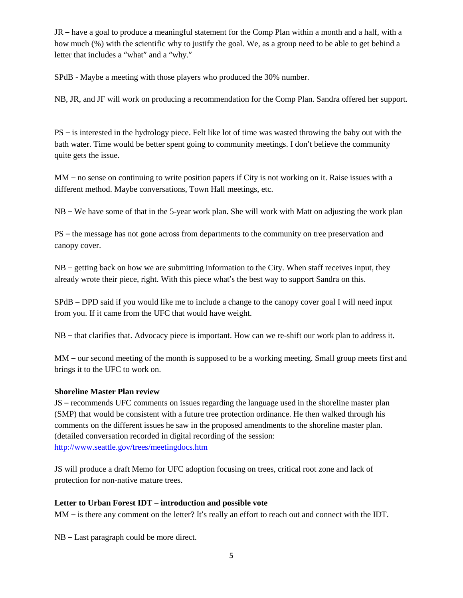JR – have a goal to produce a meaningful statement for the Comp Plan within a month and a half, with a how much (%) with the scientific why to justify the goal. We, as a group need to be able to get behind a letter that includes a "what" and a "why."

SPdB - Maybe a meeting with those players who produced the 30% number.

NB, JR, and JF will work on producing a recommendation for the Comp Plan. Sandra offered her support.

PS – is interested in the hydrology piece. Felt like lot of time was wasted throwing the baby out with the bath water. Time would be better spent going to community meetings. I don't believe the community quite gets the issue.

MM – no sense on continuing to write position papers if City is not working on it. Raise issues with a different method. Maybe conversations, Town Hall meetings, etc.

NB – We have some of that in the 5-year work plan. She will work with Matt on adjusting the work plan

PS – the message has not gone across from departments to the community on tree preservation and canopy cover.

NB – getting back on how we are submitting information to the City. When staff receives input, they already wrote their piece, right. With this piece what's the best way to support Sandra on this.

SPdB – DPD said if you would like me to include a change to the canopy cover goal I will need input from you. If it came from the UFC that would have weight.

NB – that clarifies that. Advocacy piece is important. How can we re-shift our work plan to address it.

MM – our second meeting of the month is supposed to be a working meeting. Small group meets first and brings it to the UFC to work on.

### **Shoreline Master Plan review**

JS – recommends UFC comments on issues regarding the language used in the shoreline master plan (SMP) that would be consistent with a future tree protection ordinance. He then walked through his comments on the different issues he saw in the proposed amendments to the shoreline master plan. (detailed conversation recorded in digital recording of the session: <http://www.seattle.gov/trees/meetingdocs.htm>

JS will produce a draft Memo for UFC adoption focusing on trees, critical root zone and lack of protection for non-native mature trees.

### **Letter to Urban Forest IDT – introduction and possible vote**

MM – is there any comment on the letter? It's really an effort to reach out and connect with the IDT.

NB – Last paragraph could be more direct.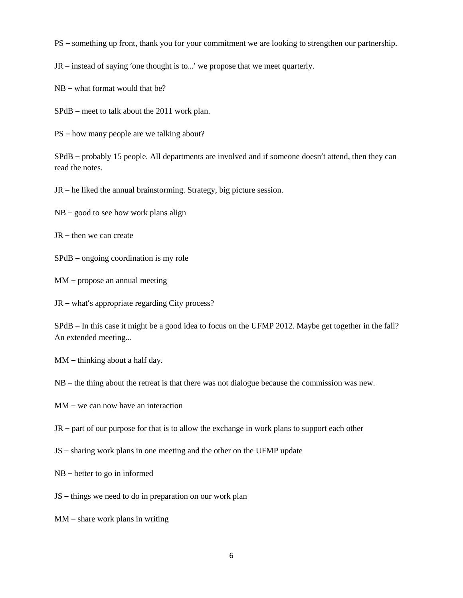PS – something up front, thank you for your commitment we are looking to strengthen our partnership.

JR – instead of saying 'one thought is to…' we propose that we meet quarterly.

NB – what format would that be?

SPdB – meet to talk about the 2011 work plan.

PS – how many people are we talking about?

SPdB – probably 15 people. All departments are involved and if someone doesn't attend, then they can read the notes.

JR – he liked the annual brainstorming. Strategy, big picture session.

 $NB - good$  to see how work plans align

JR – then we can create

SPdB – ongoing coordination is my role

MM – propose an annual meeting

JR – what's appropriate regarding City process?

SPdB – In this case it might be a good idea to focus on the UFMP 2012. Maybe get together in the fall? An extended meeting…

MM – thinking about a half day.

NB – the thing about the retreat is that there was not dialogue because the commission was new.

MM – we can now have an interaction

JR – part of our purpose for that is to allow the exchange in work plans to support each other

- JS sharing work plans in one meeting and the other on the UFMP update
- NB better to go in informed
- JS things we need to do in preparation on our work plan

MM – share work plans in writing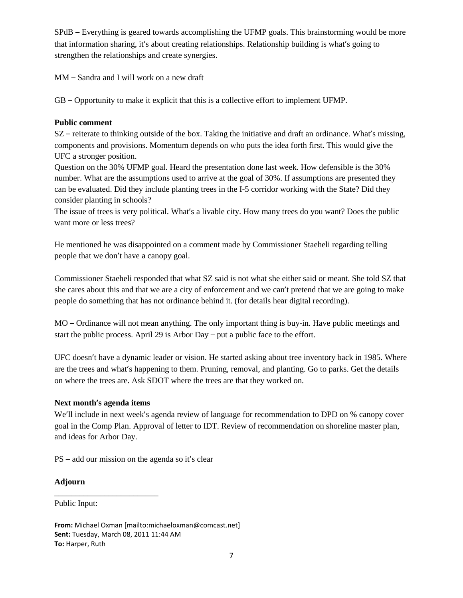SPdB – Everything is geared towards accomplishing the UFMP goals. This brainstorming would be more that information sharing, it's about creating relationships. Relationship building is what's going to strengthen the relationships and create synergies.

MM – Sandra and I will work on a new draft

GB – Opportunity to make it explicit that this is a collective effort to implement UFMP.

### **Public comment**

SZ – reiterate to thinking outside of the box. Taking the initiative and draft an ordinance. What's missing, components and provisions. Momentum depends on who puts the idea forth first. This would give the UFC a stronger position.

Question on the 30% UFMP goal. Heard the presentation done last week. How defensible is the 30% number. What are the assumptions used to arrive at the goal of 30%. If assumptions are presented they can be evaluated. Did they include planting trees in the I-5 corridor working with the State? Did they consider planting in schools?

The issue of trees is very political. What's a livable city. How many trees do you want? Does the public want more or less trees?

He mentioned he was disappointed on a comment made by Commissioner Staeheli regarding telling people that we don't have a canopy goal.

Commissioner Staeheli responded that what SZ said is not what she either said or meant. She told SZ that she cares about this and that we are a city of enforcement and we can't pretend that we are going to make people do something that has not ordinance behind it. (for details hear digital recording).

MO – Ordinance will not mean anything. The only important thing is buy-in. Have public meetings and start the public process. April 29 is Arbor Day – put a public face to the effort.

UFC doesn't have a dynamic leader or vision. He started asking about tree inventory back in 1985. Where are the trees and what's happening to them. Pruning, removal, and planting. Go to parks. Get the details on where the trees are. Ask SDOT where the trees are that they worked on.

## **Next month's agenda items**

\_\_\_\_\_\_\_\_\_\_\_\_\_\_\_\_\_\_\_\_\_\_\_\_\_

We'll include in next week's agenda review of language for recommendation to DPD on % canopy cover goal in the Comp Plan. Approval of letter to IDT. Review of recommendation on shoreline master plan, and ideas for Arbor Day.

PS – add our mission on the agenda so it's clear

## **Adjourn**

Public Input:

**From:** Michael Oxman [mailto:michaeloxman@comcast.net] **Sent:** Tuesday, March 08, 2011 11:44 AM **To:** Harper, Ruth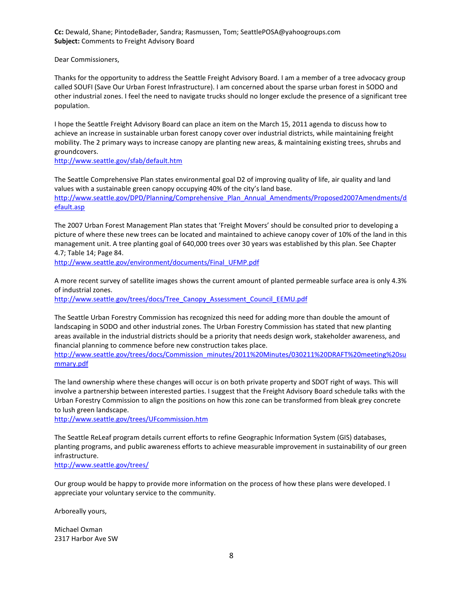**Cc:** Dewald, Shane; PintodeBader, Sandra; Rasmussen, Tom; SeattlePOSA@yahoogroups.com **Subject:** Comments to Freight Advisory Board

Dear Commissioners,

Thanks for the opportunity to address the Seattle Freight Advisory Board. I am a member of a tree advocacy group called SOUFI (Save Our Urban Forest Infrastructure). I am concerned about the sparse urban forest in SODO and other industrial zones. I feel the need to navigate trucks should no longer exclude the presence of a significant tree population.

I hope the Seattle Freight Advisory Board can place an item on the March 15, 2011 agenda to discuss how to achieve an increase in sustainable urban forest canopy cover over industrial districts, while maintaining freight mobility. The 2 primary ways to increase canopy are planting new areas, & maintaining existing trees, shrubs and groundcovers.

<http://www.seattle.gov/sfab/default.htm>

The Seattle Comprehensive Plan states environmental goal D2 of improving quality of life, air quality and land values with a sustainable green canopy occupying 40% of the city's land base. [http://www.seattle.gov/DPD/Planning/Comprehensive\\_Plan\\_Annual\\_Amendments/Proposed2007Amendments/d](http://www.seattle.gov/DPD/Planning/Comprehensive_Plan_Annual_Amendments/Proposed2007Amendments/default.asp) [efault.asp](http://www.seattle.gov/DPD/Planning/Comprehensive_Plan_Annual_Amendments/Proposed2007Amendments/default.asp)

The 2007 Urban Forest Management Plan states that 'Freight Movers' should be consulted prior to developing a picture of where these new trees can be located and maintained to achieve canopy cover of 10% of the land in this management unit. A tree planting goal of 640,000 trees over 30 years was established by this plan. See Chapter 4.7; Table 14; Page 84.

[http://www.seattle.gov/environment/documents/Final\\_UFMP.pdf](http://www.seattle.gov/environment/documents/Final_UFMP.pdf)

A more recent survey of satellite images shows the current amount of planted permeable surface area is only 4.3% of industrial zones.

[http://www.seattle.gov/trees/docs/Tree\\_Canopy\\_Assessment\\_Council\\_EEMU.pdf](http://www.seattle.gov/trees/docs/Tree_Canopy_Assessment_Council_EEMU.pdf)

The Seattle Urban Forestry Commission has recognized this need for adding more than double the amount of landscaping in SODO and other industrial zones. The Urban Forestry Commission has stated that new planting areas available in the industrial districts should be a priority that needs design work, stakeholder awareness, and financial planning to commence before new construction takes place.

[http://www.seattle.gov/trees/docs/Commission\\_minutes/2011%20Minutes/030211%20DRAFT%20meeting%20su](http://www.seattle.gov/trees/docs/Commission_minutes/2011%20Minutes/030211%20DRAFT%20meeting%20summary.pdf) [mmary.pdf](http://www.seattle.gov/trees/docs/Commission_minutes/2011%20Minutes/030211%20DRAFT%20meeting%20summary.pdf)

The land ownership where these changes will occur is on both private property and SDOT right of ways. This will involve a partnership between interested parties. I suggest that the Freight Advisory Board schedule talks with the Urban Forestry Commission to align the positions on how this zone can be transformed from bleak grey concrete to lush green landscape.

<http://www.seattle.gov/trees/UFcommission.htm>

The Seattle ReLeaf program details current efforts to refine Geographic Information System (GIS) databases, planting programs, and public awareness efforts to achieve measurable improvement in sustainability of our green infrastructure.

<http://www.seattle.gov/trees/>

Our group would be happy to provide more information on the process of how these plans were developed. I appreciate your voluntary service to the community.

Arboreally yours,

Michael Oxman 2317 Harbor Ave SW